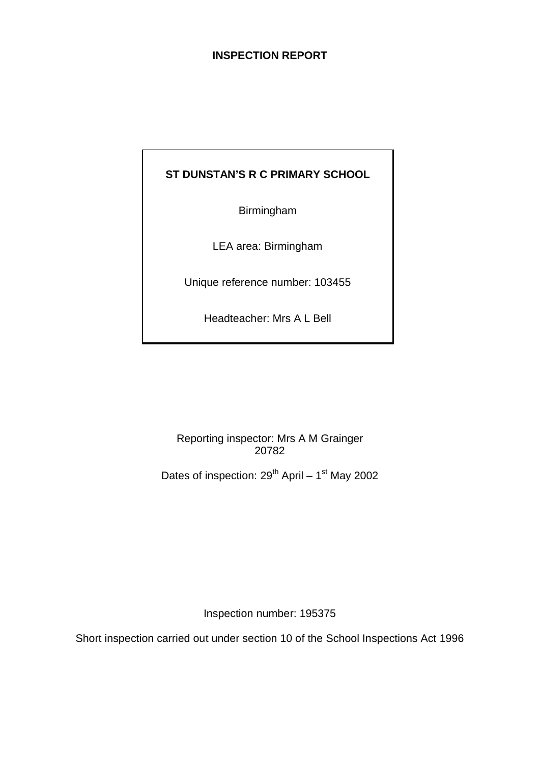## **INSPECTION REPORT**

## **ST DUNSTAN'S R C PRIMARY SCHOOL**

Birmingham

LEA area: Birmingham

Unique reference number: 103455

Headteacher: Mrs A L Bell

Reporting inspector: Mrs A M Grainger 20782

Dates of inspection:  $29^{th}$  April –  $1^{st}$  May 2002

Inspection number: 195375

Short inspection carried out under section 10 of the School Inspections Act 1996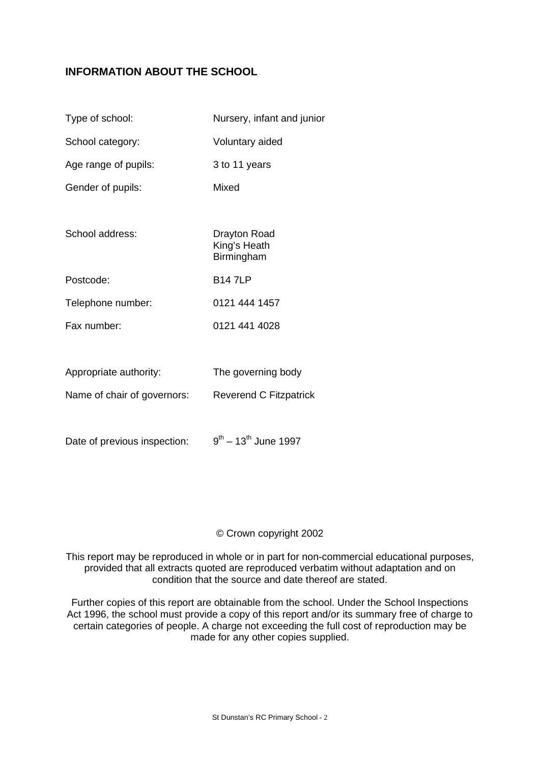## **INFORMATION ABOUT THE SCHOOL**

| Type of school:             | Nursery, infant and junior                 |
|-----------------------------|--------------------------------------------|
| School category:            | Voluntary aided                            |
| Age range of pupils:        | 3 to 11 years                              |
| Gender of pupils:           | Mixed                                      |
|                             |                                            |
| School address:             | Drayton Road<br>King's Heath<br>Birmingham |
| Postcode:                   | <b>B147LP</b>                              |
| Telephone number:           | 0121 444 1457                              |
| Fax number:                 | 0121 441 4028                              |
|                             |                                            |
| Appropriate authority:      | The governing body                         |
| Name of chair of governors: | <b>Reverend C Fitzpatrick</b>              |

Date of previous inspection:  $9^{th} - 13^{th}$  June 1997

#### © Crown copyright 2002

This report may be reproduced in whole or in part for non-commercial educational purposes, provided that all extracts quoted are reproduced verbatim without adaptation and on condition that the source and date thereof are stated.

Further copies of this report are obtainable from the school. Under the School Inspections Act 1996, the school must provide a copy of this report and/or its summary free of charge to certain categories of people. A charge not exceeding the full cost of reproduction may be made for any other copies supplied.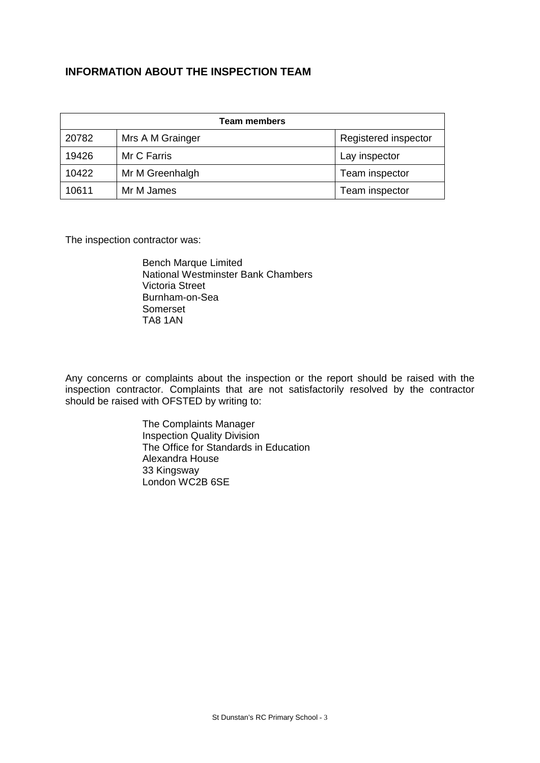## **INFORMATION ABOUT THE INSPECTION TEAM**

| <b>Team members</b> |                  |                      |  |  |  |
|---------------------|------------------|----------------------|--|--|--|
| 20782               | Mrs A M Grainger | Registered inspector |  |  |  |
| 19426               | Mr C Farris      | Lay inspector        |  |  |  |
| 10422               | Mr M Greenhalgh  | Team inspector       |  |  |  |
| 10611               | Mr M James       | Team inspector       |  |  |  |

The inspection contractor was:

Bench Marque Limited National Westminster Bank Chambers Victoria Street Burnham-on-Sea Somerset TA8 1AN

Any concerns or complaints about the inspection or the report should be raised with the inspection contractor. Complaints that are not satisfactorily resolved by the contractor should be raised with OFSTED by writing to:

> The Complaints Manager Inspection Quality Division The Office for Standards in Education Alexandra House 33 Kingsway London WC2B 6SE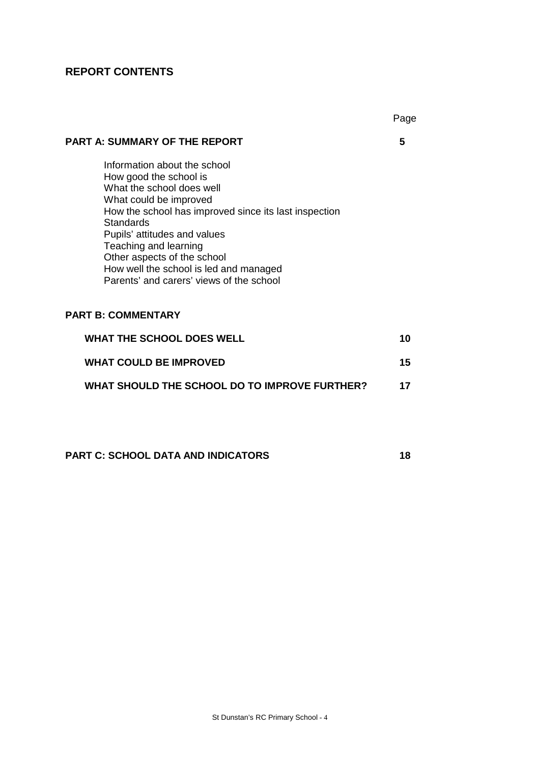## **REPORT CONTENTS**

|                                                                                                                                                                                                                                                                                                                                                                   | Page |
|-------------------------------------------------------------------------------------------------------------------------------------------------------------------------------------------------------------------------------------------------------------------------------------------------------------------------------------------------------------------|------|
| <b>PART A: SUMMARY OF THE REPORT</b>                                                                                                                                                                                                                                                                                                                              | 5    |
| Information about the school<br>How good the school is<br>What the school does well<br>What could be improved<br>How the school has improved since its last inspection<br>Standards<br>Pupils' attitudes and values<br>Teaching and learning<br>Other aspects of the school<br>How well the school is led and managed<br>Parents' and carers' views of the school |      |
| <b>PART B: COMMENTARY</b>                                                                                                                                                                                                                                                                                                                                         |      |
| <b>WHAT THE SCHOOL DOES WELL</b>                                                                                                                                                                                                                                                                                                                                  | 10   |
| <b>WHAT COULD BE IMPROVED</b>                                                                                                                                                                                                                                                                                                                                     | 15   |
| WHAT SHOULD THE SCHOOL DO TO IMPROVE FURTHER?                                                                                                                                                                                                                                                                                                                     | 17   |
|                                                                                                                                                                                                                                                                                                                                                                   |      |

| <b>PART C: SCHOOL DATA AND INDICATORS</b> |  |
|-------------------------------------------|--|
|                                           |  |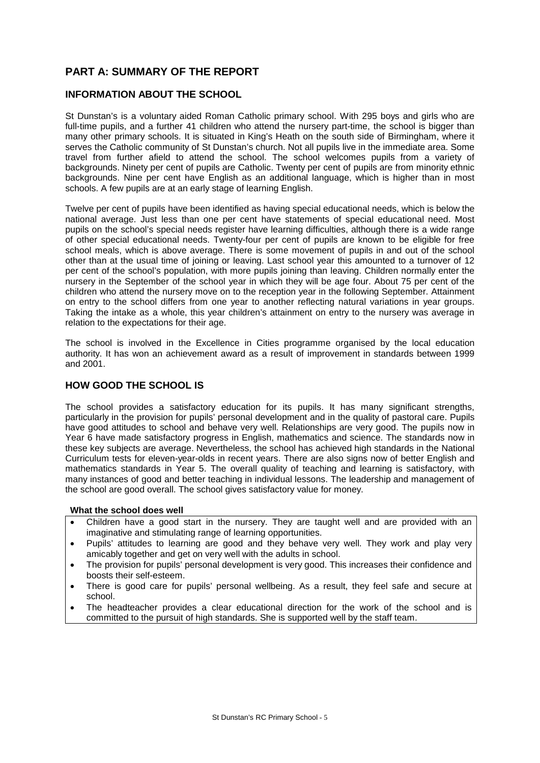## **PART A: SUMMARY OF THE REPORT**

#### **INFORMATION ABOUT THE SCHOOL**

St Dunstan's is a voluntary aided Roman Catholic primary school. With 295 boys and girls who are full-time pupils, and a further 41 children who attend the nursery part-time, the school is bigger than many other primary schools. It is situated in King's Heath on the south side of Birmingham, where it serves the Catholic community of St Dunstan's church. Not all pupils live in the immediate area. Some travel from further afield to attend the school. The school welcomes pupils from a variety of backgrounds. Ninety per cent of pupils are Catholic. Twenty per cent of pupils are from minority ethnic backgrounds. Nine per cent have English as an additional language, which is higher than in most schools. A few pupils are at an early stage of learning English.

Twelve per cent of pupils have been identified as having special educational needs, which is below the national average. Just less than one per cent have statements of special educational need. Most pupils on the school's special needs register have learning difficulties, although there is a wide range of other special educational needs. Twenty-four per cent of pupils are known to be eligible for free school meals, which is above average. There is some movement of pupils in and out of the school other than at the usual time of joining or leaving. Last school year this amounted to a turnover of 12 per cent of the school's population, with more pupils joining than leaving. Children normally enter the nursery in the September of the school year in which they will be age four. About 75 per cent of the children who attend the nursery move on to the reception year in the following September. Attainment on entry to the school differs from one year to another reflecting natural variations in year groups. Taking the intake as a whole, this year children's attainment on entry to the nursery was average in relation to the expectations for their age.

The school is involved in the Excellence in Cities programme organised by the local education authority. It has won an achievement award as a result of improvement in standards between 1999 and 2001.

#### **HOW GOOD THE SCHOOL IS**

The school provides a satisfactory education for its pupils. It has many significant strengths, particularly in the provision for pupils' personal development and in the quality of pastoral care. Pupils have good attitudes to school and behave very well. Relationships are very good. The pupils now in Year 6 have made satisfactory progress in English, mathematics and science. The standards now in these key subjects are average. Nevertheless, the school has achieved high standards in the National Curriculum tests for eleven-year-olds in recent years. There are also signs now of better English and mathematics standards in Year 5. The overall quality of teaching and learning is satisfactory, with many instances of good and better teaching in individual lessons. The leadership and management of the school are good overall. The school gives satisfactory value for money.

#### **What the school does well**

- Children have a good start in the nursery. They are taught well and are provided with an imaginative and stimulating range of learning opportunities.
- Pupils' attitudes to learning are good and they behave very well. They work and play very amicably together and get on very well with the adults in school.
- The provision for pupils' personal development is very good. This increases their confidence and boosts their self-esteem.
- There is good care for pupils' personal wellbeing. As a result, they feel safe and secure at school.
- The headteacher provides a clear educational direction for the work of the school and is committed to the pursuit of high standards. She is supported well by the staff team.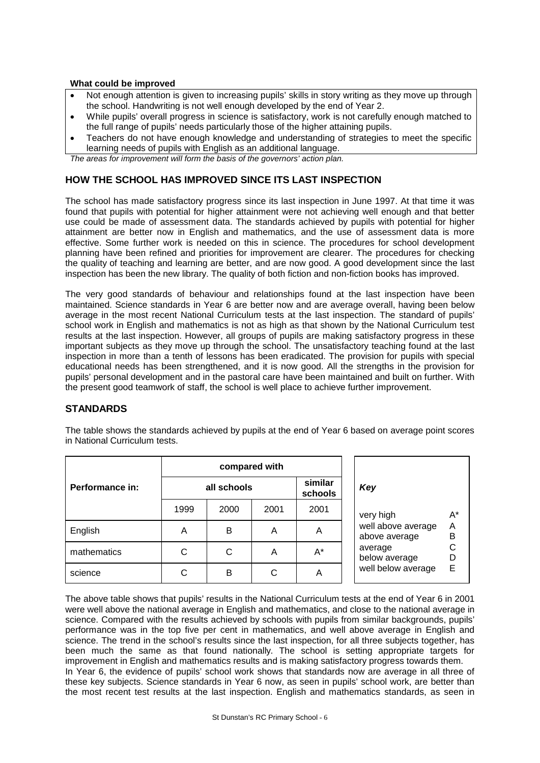#### **What could be improved**

- Not enough attention is given to increasing pupils' skills in story writing as they move up through the school. Handwriting is not well enough developed by the end of Year 2.
- While pupils' overall progress in science is satisfactory, work is not carefully enough matched to the full range of pupils' needs particularly those of the higher attaining pupils.
- Teachers do not have enough knowledge and understanding of strategies to meet the specific learning needs of pupils with English as an additional language.

*The areas for improvement will form the basis of the governors' action plan.*

#### **HOW THE SCHOOL HAS IMPROVED SINCE ITS LAST INSPECTION**

The school has made satisfactory progress since its last inspection in June 1997. At that time it was found that pupils with potential for higher attainment were not achieving well enough and that better use could be made of assessment data. The standards achieved by pupils with potential for higher attainment are better now in English and mathematics, and the use of assessment data is more effective. Some further work is needed on this in science. The procedures for school development planning have been refined and priorities for improvement are clearer. The procedures for checking the quality of teaching and learning are better, and are now good. A good development since the last inspection has been the new library. The quality of both fiction and non-fiction books has improved.

The very good standards of behaviour and relationships found at the last inspection have been maintained. Science standards in Year 6 are better now and are average overall, having been below average in the most recent National Curriculum tests at the last inspection. The standard of pupils' school work in English and mathematics is not as high as that shown by the National Curriculum test results at the last inspection. However, all groups of pupils are making satisfactory progress in these important subjects as they move up through the school. The unsatisfactory teaching found at the last inspection in more than a tenth of lessons has been eradicated. The provision for pupils with special educational needs has been strengthened, and it is now good. All the strengths in the provision for pupils' personal development and in the pastoral care have been maintained and built on further. With the present good teamwork of staff, the school is well place to achieve further improvement.

#### **STANDARDS**

|                 |      |             | compared with |                    |                                     |        |  |
|-----------------|------|-------------|---------------|--------------------|-------------------------------------|--------|--|
| Performance in: |      | all schools |               | similar<br>schools | Key                                 |        |  |
|                 | 1999 | 2000        | 2001          | 2001               | very high                           | $A^*$  |  |
| English         | A    | в           | A             | A                  | well above average<br>above average | A<br>В |  |
| mathematics     | С    | C           | A             | $A^*$              | average<br>below average            | C<br>D |  |
| science         | С    | B           |               | A                  | well below average                  | Е      |  |

The table shows the standards achieved by pupils at the end of Year 6 based on average point scores in National Curriculum tests.

The above table shows that pupils' results in the National Curriculum tests at the end of Year 6 in 2001 were well above the national average in English and mathematics, and close to the national average in science. Compared with the results achieved by schools with pupils from similar backgrounds, pupils' performance was in the top five per cent in mathematics, and well above average in English and science. The trend in the school's results since the last inspection, for all three subjects together, has been much the same as that found nationally. The school is setting appropriate targets for improvement in English and mathematics results and is making satisfactory progress towards them. In Year 6, the evidence of pupils' school work shows that standards now are average in all three of these key subjects. Science standards in Year 6 now, as seen in pupils' school work, are better than the most recent test results at the last inspection. English and mathematics standards, as seen in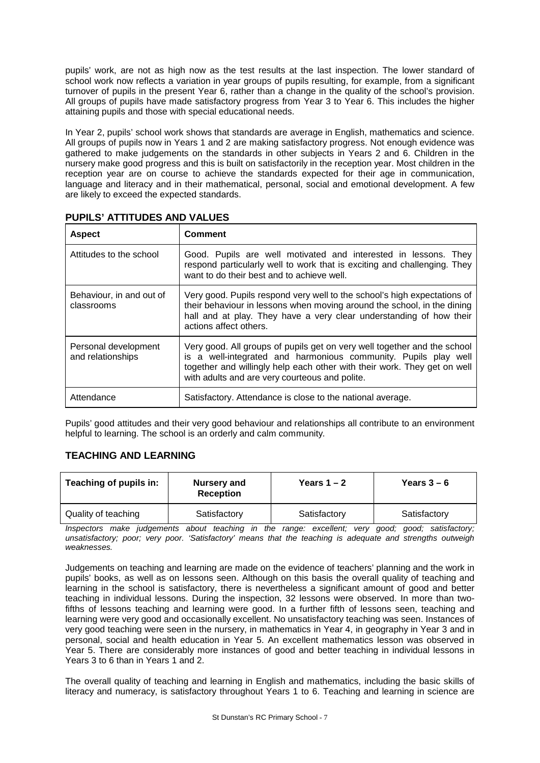pupils' work, are not as high now as the test results at the last inspection. The lower standard of school work now reflects a variation in year groups of pupils resulting, for example, from a significant turnover of pupils in the present Year 6, rather than a change in the quality of the school's provision. All groups of pupils have made satisfactory progress from Year 3 to Year 6. This includes the higher attaining pupils and those with special educational needs.

In Year 2, pupils' school work shows that standards are average in English, mathematics and science. All groups of pupils now in Years 1 and 2 are making satisfactory progress. Not enough evidence was gathered to make judgements on the standards in other subjects in Years 2 and 6. Children in the nursery make good progress and this is built on satisfactorily in the reception year. Most children in the reception year are on course to achieve the standards expected for their age in communication, language and literacy and in their mathematical, personal, social and emotional development. A few are likely to exceed the expected standards.

| <b>Aspect</b>                             | Comment                                                                                                                                                                                                                                                                   |
|-------------------------------------------|---------------------------------------------------------------------------------------------------------------------------------------------------------------------------------------------------------------------------------------------------------------------------|
| Attitudes to the school                   | Good. Pupils are well motivated and interested in lessons. They<br>respond particularly well to work that is exciting and challenging. They<br>want to do their best and to achieve well.                                                                                 |
| Behaviour, in and out of<br>classrooms    | Very good. Pupils respond very well to the school's high expectations of<br>their behaviour in lessons when moving around the school, in the dining<br>hall and at play. They have a very clear understanding of how their<br>actions affect others.                      |
| Personal development<br>and relationships | Very good. All groups of pupils get on very well together and the school<br>is a well-integrated and harmonious community. Pupils play well<br>together and willingly help each other with their work. They get on well<br>with adults and are very courteous and polite. |
| Attendance                                | Satisfactory. Attendance is close to the national average.                                                                                                                                                                                                                |

## **PUPILS' ATTITUDES AND VALUES**

Pupils' good attitudes and their very good behaviour and relationships all contribute to an environment helpful to learning. The school is an orderly and calm community.

#### **TEACHING AND LEARNING**

| Teaching of pupils in: | <b>Nursery and</b><br><b>Reception</b> | Years $1 - 2$ | Years $3-6$  |  |
|------------------------|----------------------------------------|---------------|--------------|--|
| Quality of teaching    | Satisfactory                           | Satisfactory  | Satisfactory |  |

*Inspectors make judgements about teaching in the range: excellent; very good; good; satisfactory; unsatisfactory; poor; very poor. 'Satisfactory' means that the teaching is adequate and strengths outweigh weaknesses.*

Judgements on teaching and learning are made on the evidence of teachers' planning and the work in pupils' books, as well as on lessons seen. Although on this basis the overall quality of teaching and learning in the school is satisfactory, there is nevertheless a significant amount of good and better teaching in individual lessons. During the inspection, 32 lessons were observed. In more than twofifths of lessons teaching and learning were good. In a further fifth of lessons seen, teaching and learning were very good and occasionally excellent. No unsatisfactory teaching was seen. Instances of very good teaching were seen in the nursery, in mathematics in Year 4, in geography in Year 3 and in personal, social and health education in Year 5. An excellent mathematics lesson was observed in Year 5. There are considerably more instances of good and better teaching in individual lessons in Years 3 to 6 than in Years 1 and 2.

The overall quality of teaching and learning in English and mathematics, including the basic skills of literacy and numeracy, is satisfactory throughout Years 1 to 6. Teaching and learning in science are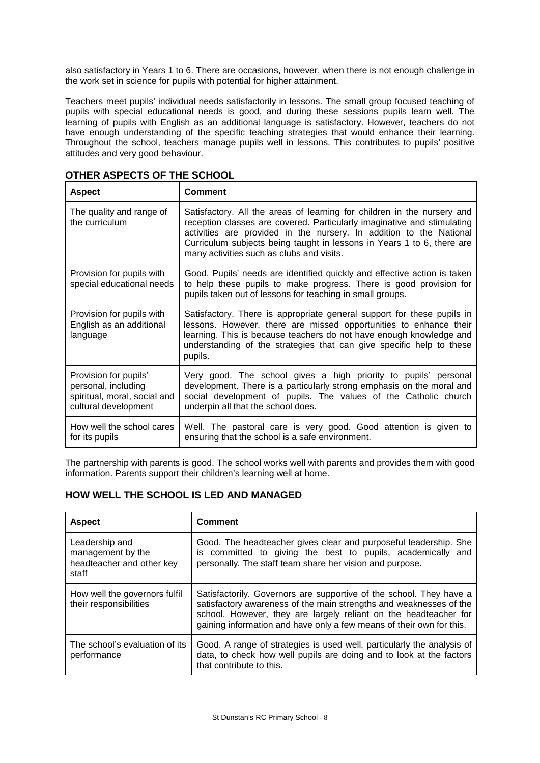also satisfactory in Years 1 to 6. There are occasions, however, when there is not enough challenge in the work set in science for pupils with potential for higher attainment.

Teachers meet pupils' individual needs satisfactorily in lessons. The small group focused teaching of pupils with special educational needs is good, and during these sessions pupils learn well. The learning of pupils with English as an additional language is satisfactory. However, teachers do not have enough understanding of the specific teaching strategies that would enhance their learning. Throughout the school, teachers manage pupils well in lessons. This contributes to pupils' positive attitudes and very good behaviour.

| <b>Aspect</b>                                                                                        | <b>Comment</b>                                                                                                                                                                                                                                                                                                                                   |
|------------------------------------------------------------------------------------------------------|--------------------------------------------------------------------------------------------------------------------------------------------------------------------------------------------------------------------------------------------------------------------------------------------------------------------------------------------------|
| The quality and range of<br>the curriculum                                                           | Satisfactory. All the areas of learning for children in the nursery and<br>reception classes are covered. Particularly imaginative and stimulating<br>activities are provided in the nursery. In addition to the National<br>Curriculum subjects being taught in lessons in Years 1 to 6, there are<br>many activities such as clubs and visits. |
| Provision for pupils with<br>special educational needs                                               | Good. Pupils' needs are identified quickly and effective action is taken<br>to help these pupils to make progress. There is good provision for<br>pupils taken out of lessons for teaching in small groups.                                                                                                                                      |
| Provision for pupils with<br>English as an additional<br>language                                    | Satisfactory. There is appropriate general support for these pupils in<br>lessons. However, there are missed opportunities to enhance their<br>learning. This is because teachers do not have enough knowledge and<br>understanding of the strategies that can give specific help to these<br>pupils.                                            |
| Provision for pupils'<br>personal, including<br>spiritual, moral, social and<br>cultural development | Very good. The school gives a high priority to pupils' personal<br>development. There is a particularly strong emphasis on the moral and<br>social development of pupils. The values of the Catholic church<br>underpin all that the school does.                                                                                                |
| How well the school cares<br>for its pupils                                                          | Well. The pastoral care is very good. Good attention is given to<br>ensuring that the school is a safe environment.                                                                                                                                                                                                                              |

#### **OTHER ASPECTS OF THE SCHOOL**

The partnership with parents is good. The school works well with parents and provides them with good information. Parents support their children's learning well at home.

#### **HOW WELL THE SCHOOL IS LED AND MANAGED**

| <b>Aspect</b>                                                             | <b>Comment</b>                                                                                                                                                                                                                                                                        |
|---------------------------------------------------------------------------|---------------------------------------------------------------------------------------------------------------------------------------------------------------------------------------------------------------------------------------------------------------------------------------|
| Leadership and<br>management by the<br>headteacher and other key<br>staff | Good. The headteacher gives clear and purposeful leadership. She<br>is committed to giving the best to pupils, academically and<br>personally. The staff team share her vision and purpose.                                                                                           |
| How well the governors fulfil<br>their responsibilities                   | Satisfactorily. Governors are supportive of the school. They have a<br>satisfactory awareness of the main strengths and weaknesses of the<br>school. However, they are largely reliant on the headteacher for<br>gaining information and have only a few means of their own for this. |
| The school's evaluation of its<br>performance                             | Good. A range of strategies is used well, particularly the analysis of<br>data, to check how well pupils are doing and to look at the factors<br>that contribute to this.                                                                                                             |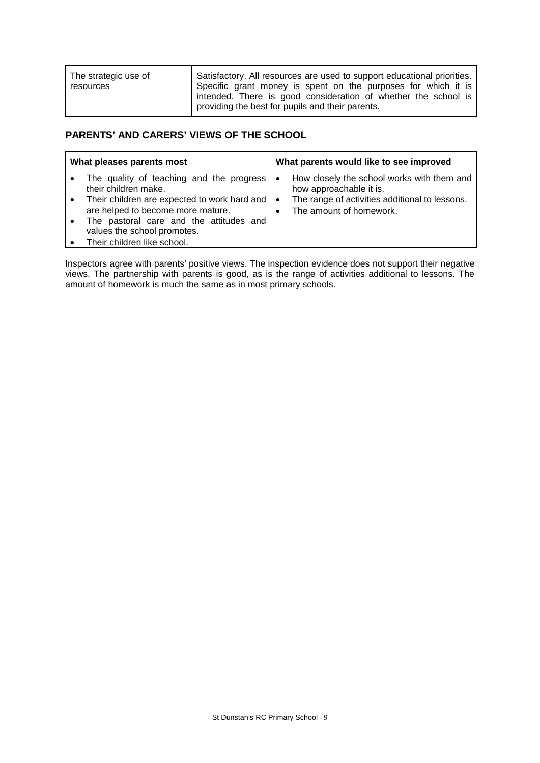| The strategic use of | Satisfactory. All resources are used to support educational priorities.                                                                                                             |
|----------------------|-------------------------------------------------------------------------------------------------------------------------------------------------------------------------------------|
| resources            | Specific grant money is spent on the purposes for which it is<br>intended. There is good consideration of whether the school is<br>providing the best for pupils and their parents. |

## **PARENTS' AND CARERS' VIEWS OF THE SCHOOL**

| What pleases parents most |                                                                                                                                                                                                                                                                |                             | What parents would like to see improved                                                                                                            |  |  |
|---------------------------|----------------------------------------------------------------------------------------------------------------------------------------------------------------------------------------------------------------------------------------------------------------|-----------------------------|----------------------------------------------------------------------------------------------------------------------------------------------------|--|--|
|                           | The quality of teaching and the progress<br>their children make.<br>Their children are expected to work hard and<br>are helped to become more mature.<br>The pastoral care and the attitudes and<br>values the school promotes.<br>Their children like school. | ٠<br>$\bullet$<br>$\bullet$ | How closely the school works with them and<br>how approachable it is.<br>The range of activities additional to lessons.<br>The amount of homework. |  |  |

Inspectors agree with parents' positive views. The inspection evidence does not support their negative views. The partnership with parents is good, as is the range of activities additional to lessons. The amount of homework is much the same as in most primary schools.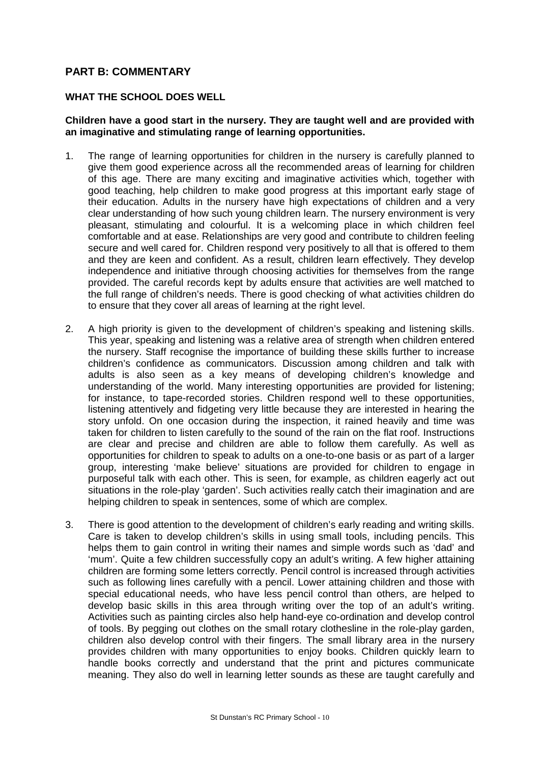### **PART B: COMMENTARY**

#### **WHAT THE SCHOOL DOES WELL**

#### **Children have a good start in the nursery. They are taught well and are provided with an imaginative and stimulating range of learning opportunities.**

- 1. The range of learning opportunities for children in the nursery is carefully planned to give them good experience across all the recommended areas of learning for children of this age. There are many exciting and imaginative activities which, together with good teaching, help children to make good progress at this important early stage of their education. Adults in the nursery have high expectations of children and a very clear understanding of how such young children learn. The nursery environment is very pleasant, stimulating and colourful. It is a welcoming place in which children feel comfortable and at ease. Relationships are very good and contribute to children feeling secure and well cared for. Children respond very positively to all that is offered to them and they are keen and confident. As a result, children learn effectively. They develop independence and initiative through choosing activities for themselves from the range provided. The careful records kept by adults ensure that activities are well matched to the full range of children's needs. There is good checking of what activities children do to ensure that they cover all areas of learning at the right level.
- 2. A high priority is given to the development of children's speaking and listening skills. This year, speaking and listening was a relative area of strength when children entered the nursery. Staff recognise the importance of building these skills further to increase children's confidence as communicators. Discussion among children and talk with adults is also seen as a key means of developing children's knowledge and understanding of the world. Many interesting opportunities are provided for listening; for instance, to tape-recorded stories. Children respond well to these opportunities, listening attentively and fidgeting very little because they are interested in hearing the story unfold. On one occasion during the inspection, it rained heavily and time was taken for children to listen carefully to the sound of the rain on the flat roof. Instructions are clear and precise and children are able to follow them carefully. As well as opportunities for children to speak to adults on a one-to-one basis or as part of a larger group, interesting 'make believe' situations are provided for children to engage in purposeful talk with each other. This is seen, for example, as children eagerly act out situations in the role-play 'garden'. Such activities really catch their imagination and are helping children to speak in sentences, some of which are complex.
- 3. There is good attention to the development of children's early reading and writing skills. Care is taken to develop children's skills in using small tools, including pencils. This helps them to gain control in writing their names and simple words such as 'dad' and 'mum'. Quite a few children successfully copy an adult's writing. A few higher attaining children are forming some letters correctly. Pencil control is increased through activities such as following lines carefully with a pencil. Lower attaining children and those with special educational needs, who have less pencil control than others, are helped to develop basic skills in this area through writing over the top of an adult's writing. Activities such as painting circles also help hand-eye co-ordination and develop control of tools. By pegging out clothes on the small rotary clothesline in the role-play garden, children also develop control with their fingers. The small library area in the nursery provides children with many opportunities to enjoy books. Children quickly learn to handle books correctly and understand that the print and pictures communicate meaning. They also do well in learning letter sounds as these are taught carefully and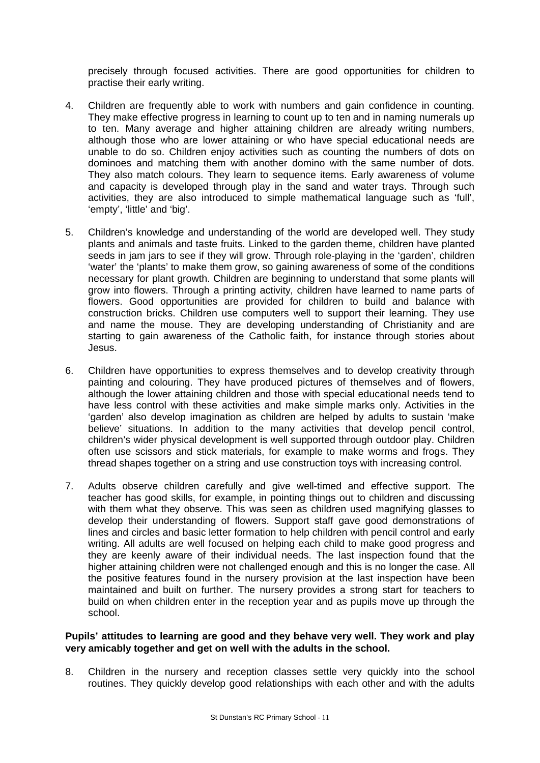precisely through focused activities. There are good opportunities for children to practise their early writing.

- 4. Children are frequently able to work with numbers and gain confidence in counting. They make effective progress in learning to count up to ten and in naming numerals up to ten. Many average and higher attaining children are already writing numbers, although those who are lower attaining or who have special educational needs are unable to do so. Children enjoy activities such as counting the numbers of dots on dominoes and matching them with another domino with the same number of dots. They also match colours. They learn to sequence items. Early awareness of volume and capacity is developed through play in the sand and water trays. Through such activities, they are also introduced to simple mathematical language such as 'full', 'empty', 'little' and 'big'.
- 5. Children's knowledge and understanding of the world are developed well. They study plants and animals and taste fruits. Linked to the garden theme, children have planted seeds in jam jars to see if they will grow. Through role-playing in the 'garden', children 'water' the 'plants' to make them grow, so gaining awareness of some of the conditions necessary for plant growth. Children are beginning to understand that some plants will grow into flowers. Through a printing activity, children have learned to name parts of flowers. Good opportunities are provided for children to build and balance with construction bricks. Children use computers well to support their learning. They use and name the mouse. They are developing understanding of Christianity and are starting to gain awareness of the Catholic faith, for instance through stories about Jesus.
- 6. Children have opportunities to express themselves and to develop creativity through painting and colouring. They have produced pictures of themselves and of flowers, although the lower attaining children and those with special educational needs tend to have less control with these activities and make simple marks only. Activities in the 'garden' also develop imagination as children are helped by adults to sustain 'make believe' situations. In addition to the many activities that develop pencil control, children's wider physical development is well supported through outdoor play. Children often use scissors and stick materials, for example to make worms and frogs. They thread shapes together on a string and use construction toys with increasing control.
- 7. Adults observe children carefully and give well-timed and effective support. The teacher has good skills, for example, in pointing things out to children and discussing with them what they observe. This was seen as children used magnifying glasses to develop their understanding of flowers. Support staff gave good demonstrations of lines and circles and basic letter formation to help children with pencil control and early writing. All adults are well focused on helping each child to make good progress and they are keenly aware of their individual needs. The last inspection found that the higher attaining children were not challenged enough and this is no longer the case. All the positive features found in the nursery provision at the last inspection have been maintained and built on further. The nursery provides a strong start for teachers to build on when children enter in the reception year and as pupils move up through the school.

#### **Pupils' attitudes to learning are good and they behave very well. They work and play very amicably together and get on well with the adults in the school.**

8. Children in the nursery and reception classes settle very quickly into the school routines. They quickly develop good relationships with each other and with the adults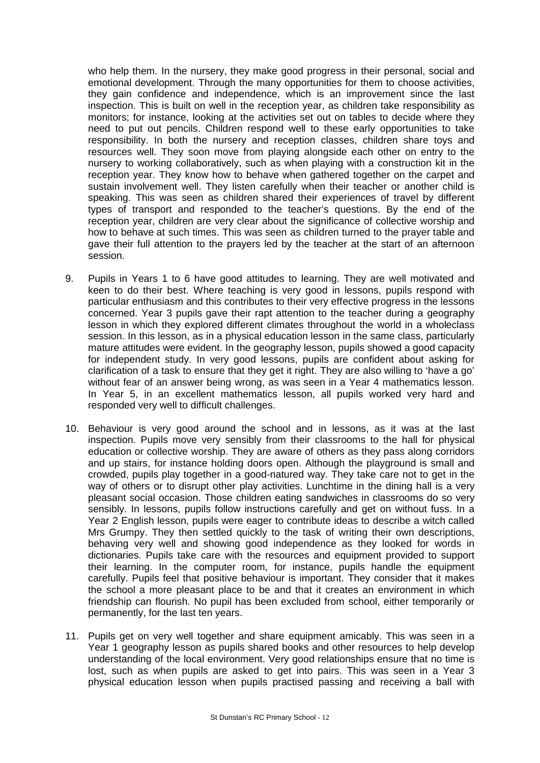who help them. In the nursery, they make good progress in their personal, social and emotional development. Through the many opportunities for them to choose activities, they gain confidence and independence, which is an improvement since the last inspection. This is built on well in the reception year, as children take responsibility as monitors; for instance, looking at the activities set out on tables to decide where they need to put out pencils. Children respond well to these early opportunities to take responsibility. In both the nursery and reception classes, children share toys and resources well. They soon move from playing alongside each other on entry to the nursery to working collaboratively, such as when playing with a construction kit in the reception year. They know how to behave when gathered together on the carpet and sustain involvement well. They listen carefully when their teacher or another child is speaking. This was seen as children shared their experiences of travel by different types of transport and responded to the teacher's questions. By the end of the reception year, children are very clear about the significance of collective worship and how to behave at such times. This was seen as children turned to the prayer table and gave their full attention to the prayers led by the teacher at the start of an afternoon session.

- 9. Pupils in Years 1 to 6 have good attitudes to learning. They are well motivated and keen to do their best. Where teaching is very good in lessons, pupils respond with particular enthusiasm and this contributes to their very effective progress in the lessons concerned. Year 3 pupils gave their rapt attention to the teacher during a geography lesson in which they explored different climates throughout the world in a wholeclass session. In this lesson, as in a physical education lesson in the same class, particularly mature attitudes were evident. In the geography lesson, pupils showed a good capacity for independent study. In very good lessons, pupils are confident about asking for clarification of a task to ensure that they get it right. They are also willing to 'have a go' without fear of an answer being wrong, as was seen in a Year 4 mathematics lesson. In Year 5, in an excellent mathematics lesson, all pupils worked very hard and responded very well to difficult challenges.
- 10. Behaviour is very good around the school and in lessons, as it was at the last inspection. Pupils move very sensibly from their classrooms to the hall for physical education or collective worship. They are aware of others as they pass along corridors and up stairs, for instance holding doors open. Although the playground is small and crowded, pupils play together in a good-natured way. They take care not to get in the way of others or to disrupt other play activities. Lunchtime in the dining hall is a very pleasant social occasion. Those children eating sandwiches in classrooms do so very sensibly. In lessons, pupils follow instructions carefully and get on without fuss. In a Year 2 English lesson, pupils were eager to contribute ideas to describe a witch called Mrs Grumpy. They then settled quickly to the task of writing their own descriptions, behaving very well and showing good independence as they looked for words in dictionaries. Pupils take care with the resources and equipment provided to support their learning. In the computer room, for instance, pupils handle the equipment carefully. Pupils feel that positive behaviour is important. They consider that it makes the school a more pleasant place to be and that it creates an environment in which friendship can flourish. No pupil has been excluded from school, either temporarily or permanently, for the last ten years.
- 11. Pupils get on very well together and share equipment amicably. This was seen in a Year 1 geography lesson as pupils shared books and other resources to help develop understanding of the local environment. Very good relationships ensure that no time is lost, such as when pupils are asked to get into pairs. This was seen in a Year 3 physical education lesson when pupils practised passing and receiving a ball with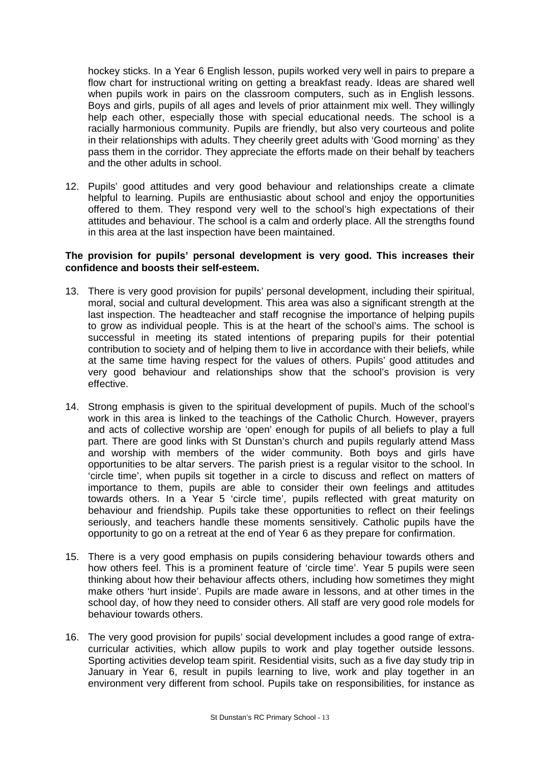hockey sticks. In a Year 6 English lesson, pupils worked very well in pairs to prepare a flow chart for instructional writing on getting a breakfast ready. Ideas are shared well when pupils work in pairs on the classroom computers, such as in English lessons. Boys and girls, pupils of all ages and levels of prior attainment mix well. They willingly help each other, especially those with special educational needs. The school is a racially harmonious community. Pupils are friendly, but also very courteous and polite in their relationships with adults. They cheerily greet adults with 'Good morning' as they pass them in the corridor. They appreciate the efforts made on their behalf by teachers and the other adults in school.

12. Pupils' good attitudes and very good behaviour and relationships create a climate helpful to learning. Pupils are enthusiastic about school and enjoy the opportunities offered to them. They respond very well to the school's high expectations of their attitudes and behaviour. The school is a calm and orderly place. All the strengths found in this area at the last inspection have been maintained.

#### **The provision for pupils' personal development is very good. This increases their confidence and boosts their self-esteem.**

- 13. There is very good provision for pupils' personal development, including their spiritual, moral, social and cultural development. This area was also a significant strength at the last inspection. The headteacher and staff recognise the importance of helping pupils to grow as individual people. This is at the heart of the school's aims. The school is successful in meeting its stated intentions of preparing pupils for their potential contribution to society and of helping them to live in accordance with their beliefs, while at the same time having respect for the values of others. Pupils' good attitudes and very good behaviour and relationships show that the school's provision is very effective.
- 14. Strong emphasis is given to the spiritual development of pupils. Much of the school's work in this area is linked to the teachings of the Catholic Church. However, prayers and acts of collective worship are 'open' enough for pupils of all beliefs to play a full part. There are good links with St Dunstan's church and pupils regularly attend Mass and worship with members of the wider community. Both boys and girls have opportunities to be altar servers. The parish priest is a regular visitor to the school. In 'circle time', when pupils sit together in a circle to discuss and reflect on matters of importance to them, pupils are able to consider their own feelings and attitudes towards others. In a Year 5 'circle time', pupils reflected with great maturity on behaviour and friendship. Pupils take these opportunities to reflect on their feelings seriously, and teachers handle these moments sensitively. Catholic pupils have the opportunity to go on a retreat at the end of Year 6 as they prepare for confirmation.
- 15. There is a very good emphasis on pupils considering behaviour towards others and how others feel. This is a prominent feature of 'circle time'. Year 5 pupils were seen thinking about how their behaviour affects others, including how sometimes they might make others 'hurt inside'. Pupils are made aware in lessons, and at other times in the school day, of how they need to consider others. All staff are very good role models for behaviour towards others.
- 16. The very good provision for pupils' social development includes a good range of extracurricular activities, which allow pupils to work and play together outside lessons. Sporting activities develop team spirit. Residential visits, such as a five day study trip in January in Year 6, result in pupils learning to live, work and play together in an environment very different from school. Pupils take on responsibilities, for instance as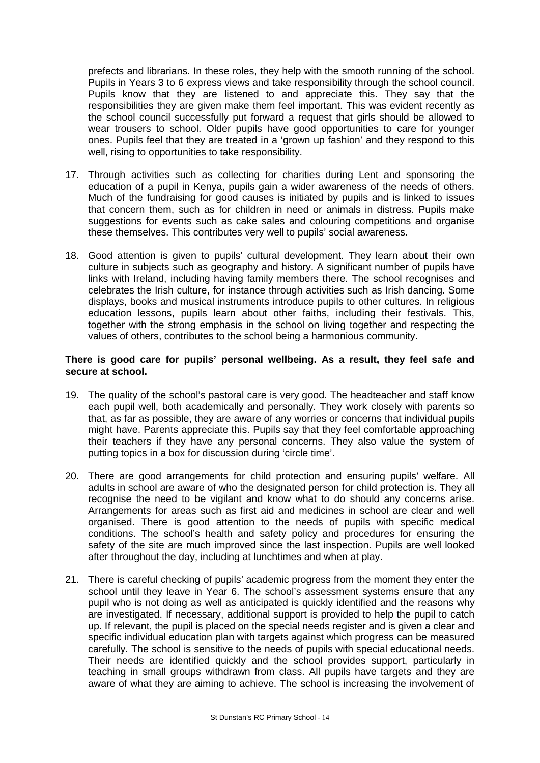prefects and librarians. In these roles, they help with the smooth running of the school. Pupils in Years 3 to 6 express views and take responsibility through the school council. Pupils know that they are listened to and appreciate this. They say that the responsibilities they are given make them feel important. This was evident recently as the school council successfully put forward a request that girls should be allowed to wear trousers to school. Older pupils have good opportunities to care for younger ones. Pupils feel that they are treated in a 'grown up fashion' and they respond to this well, rising to opportunities to take responsibility.

- 17. Through activities such as collecting for charities during Lent and sponsoring the education of a pupil in Kenya, pupils gain a wider awareness of the needs of others. Much of the fundraising for good causes is initiated by pupils and is linked to issues that concern them, such as for children in need or animals in distress. Pupils make suggestions for events such as cake sales and colouring competitions and organise these themselves. This contributes very well to pupils' social awareness.
- 18. Good attention is given to pupils' cultural development. They learn about their own culture in subjects such as geography and history. A significant number of pupils have links with Ireland, including having family members there. The school recognises and celebrates the Irish culture, for instance through activities such as Irish dancing. Some displays, books and musical instruments introduce pupils to other cultures. In religious education lessons, pupils learn about other faiths, including their festivals. This, together with the strong emphasis in the school on living together and respecting the values of others, contributes to the school being a harmonious community.

#### **There is good care for pupils' personal wellbeing. As a result, they feel safe and secure at school.**

- 19. The quality of the school's pastoral care is very good. The headteacher and staff know each pupil well, both academically and personally. They work closely with parents so that, as far as possible, they are aware of any worries or concerns that individual pupils might have. Parents appreciate this. Pupils say that they feel comfortable approaching their teachers if they have any personal concerns. They also value the system of putting topics in a box for discussion during 'circle time'.
- 20. There are good arrangements for child protection and ensuring pupils' welfare. All adults in school are aware of who the designated person for child protection is. They all recognise the need to be vigilant and know what to do should any concerns arise. Arrangements for areas such as first aid and medicines in school are clear and well organised. There is good attention to the needs of pupils with specific medical conditions. The school's health and safety policy and procedures for ensuring the safety of the site are much improved since the last inspection. Pupils are well looked after throughout the day, including at lunchtimes and when at play.
- 21. There is careful checking of pupils' academic progress from the moment they enter the school until they leave in Year 6. The school's assessment systems ensure that any pupil who is not doing as well as anticipated is quickly identified and the reasons why are investigated. If necessary, additional support is provided to help the pupil to catch up. If relevant, the pupil is placed on the special needs register and is given a clear and specific individual education plan with targets against which progress can be measured carefully. The school is sensitive to the needs of pupils with special educational needs. Their needs are identified quickly and the school provides support, particularly in teaching in small groups withdrawn from class. All pupils have targets and they are aware of what they are aiming to achieve. The school is increasing the involvement of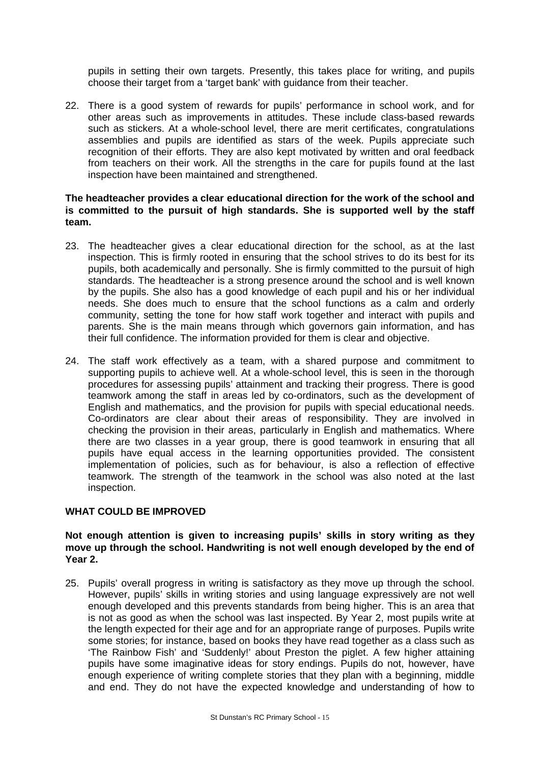pupils in setting their own targets. Presently, this takes place for writing, and pupils choose their target from a 'target bank' with guidance from their teacher.

22. There is a good system of rewards for pupils' performance in school work, and for other areas such as improvements in attitudes. These include class-based rewards such as stickers. At a whole-school level, there are merit certificates, congratulations assemblies and pupils are identified as stars of the week. Pupils appreciate such recognition of their efforts. They are also kept motivated by written and oral feedback from teachers on their work. All the strengths in the care for pupils found at the last inspection have been maintained and strengthened.

#### **The headteacher provides a clear educational direction for the work of the school and is committed to the pursuit of high standards. She is supported well by the staff team.**

- 23. The headteacher gives a clear educational direction for the school, as at the last inspection. This is firmly rooted in ensuring that the school strives to do its best for its pupils, both academically and personally. She is firmly committed to the pursuit of high standards. The headteacher is a strong presence around the school and is well known by the pupils. She also has a good knowledge of each pupil and his or her individual needs. She does much to ensure that the school functions as a calm and orderly community, setting the tone for how staff work together and interact with pupils and parents. She is the main means through which governors gain information, and has their full confidence. The information provided for them is clear and objective.
- 24. The staff work effectively as a team, with a shared purpose and commitment to supporting pupils to achieve well. At a whole-school level, this is seen in the thorough procedures for assessing pupils' attainment and tracking their progress. There is good teamwork among the staff in areas led by co-ordinators, such as the development of English and mathematics, and the provision for pupils with special educational needs. Co-ordinators are clear about their areas of responsibility. They are involved in checking the provision in their areas, particularly in English and mathematics. Where there are two classes in a year group, there is good teamwork in ensuring that all pupils have equal access in the learning opportunities provided. The consistent implementation of policies, such as for behaviour, is also a reflection of effective teamwork. The strength of the teamwork in the school was also noted at the last inspection.

#### **WHAT COULD BE IMPROVED**

#### **Not enough attention is given to increasing pupils' skills in story writing as they move up through the school. Handwriting is not well enough developed by the end of Year 2.**

25. Pupils' overall progress in writing is satisfactory as they move up through the school. However, pupils' skills in writing stories and using language expressively are not well enough developed and this prevents standards from being higher. This is an area that is not as good as when the school was last inspected. By Year 2, most pupils write at the length expected for their age and for an appropriate range of purposes. Pupils write some stories; for instance, based on books they have read together as a class such as 'The Rainbow Fish' and 'Suddenly!' about Preston the piglet. A few higher attaining pupils have some imaginative ideas for story endings. Pupils do not, however, have enough experience of writing complete stories that they plan with a beginning, middle and end. They do not have the expected knowledge and understanding of how to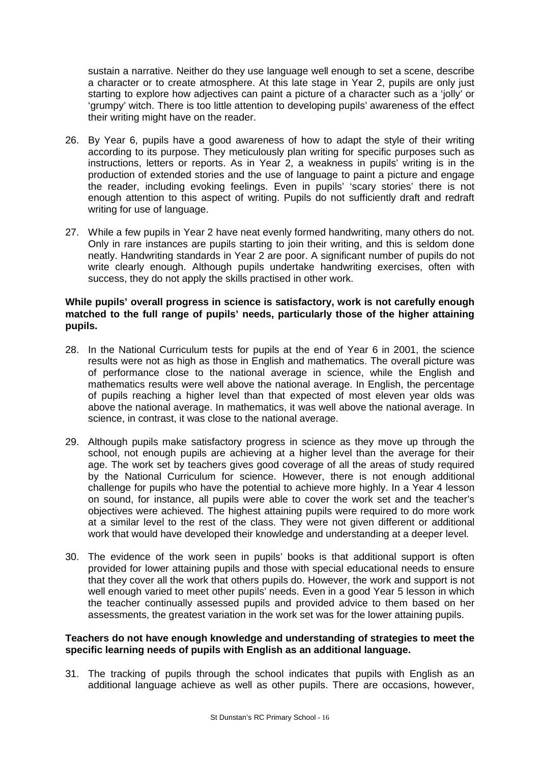sustain a narrative. Neither do they use language well enough to set a scene, describe a character or to create atmosphere. At this late stage in Year 2, pupils are only just starting to explore how adjectives can paint a picture of a character such as a 'jolly' or 'grumpy' witch. There is too little attention to developing pupils' awareness of the effect their writing might have on the reader.

- 26. By Year 6, pupils have a good awareness of how to adapt the style of their writing according to its purpose. They meticulously plan writing for specific purposes such as instructions, letters or reports. As in Year 2, a weakness in pupils' writing is in the production of extended stories and the use of language to paint a picture and engage the reader, including evoking feelings. Even in pupils' 'scary stories' there is not enough attention to this aspect of writing. Pupils do not sufficiently draft and redraft writing for use of language.
- 27. While a few pupils in Year 2 have neat evenly formed handwriting, many others do not. Only in rare instances are pupils starting to join their writing, and this is seldom done neatly. Handwriting standards in Year 2 are poor. A significant number of pupils do not write clearly enough. Although pupils undertake handwriting exercises, often with success, they do not apply the skills practised in other work.

#### **While pupils' overall progress in science is satisfactory, work is not carefully enough matched to the full range of pupils' needs, particularly those of the higher attaining pupils.**

- 28. In the National Curriculum tests for pupils at the end of Year 6 in 2001, the science results were not as high as those in English and mathematics. The overall picture was of performance close to the national average in science, while the English and mathematics results were well above the national average. In English, the percentage of pupils reaching a higher level than that expected of most eleven year olds was above the national average. In mathematics, it was well above the national average. In science, in contrast, it was close to the national average.
- 29. Although pupils make satisfactory progress in science as they move up through the school, not enough pupils are achieving at a higher level than the average for their age. The work set by teachers gives good coverage of all the areas of study required by the National Curriculum for science. However, there is not enough additional challenge for pupils who have the potential to achieve more highly. In a Year 4 lesson on sound, for instance, all pupils were able to cover the work set and the teacher's objectives were achieved. The highest attaining pupils were required to do more work at a similar level to the rest of the class. They were not given different or additional work that would have developed their knowledge and understanding at a deeper level.
- 30. The evidence of the work seen in pupils' books is that additional support is often provided for lower attaining pupils and those with special educational needs to ensure that they cover all the work that others pupils do. However, the work and support is not well enough varied to meet other pupils' needs. Even in a good Year 5 lesson in which the teacher continually assessed pupils and provided advice to them based on her assessments, the greatest variation in the work set was for the lower attaining pupils.

#### **Teachers do not have enough knowledge and understanding of strategies to meet the specific learning needs of pupils with English as an additional language.**

31. The tracking of pupils through the school indicates that pupils with English as an additional language achieve as well as other pupils. There are occasions, however,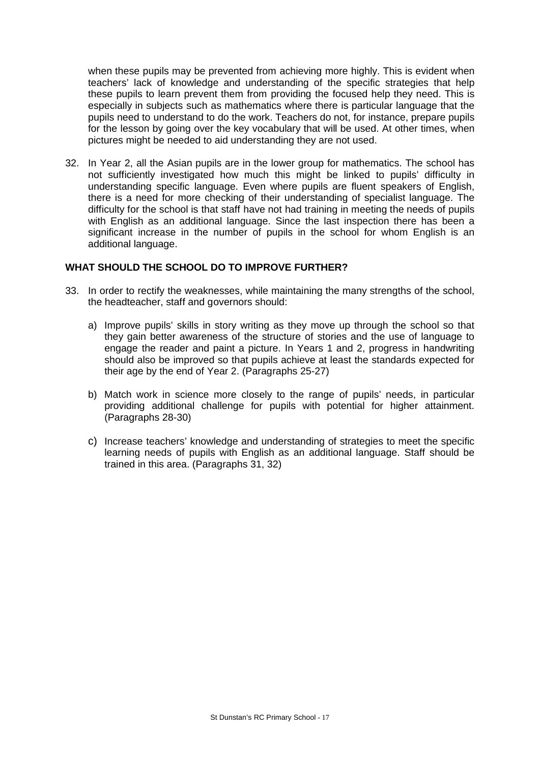when these pupils may be prevented from achieving more highly. This is evident when teachers' lack of knowledge and understanding of the specific strategies that help these pupils to learn prevent them from providing the focused help they need. This is especially in subjects such as mathematics where there is particular language that the pupils need to understand to do the work. Teachers do not, for instance, prepare pupils for the lesson by going over the key vocabulary that will be used. At other times, when pictures might be needed to aid understanding they are not used.

32. In Year 2, all the Asian pupils are in the lower group for mathematics. The school has not sufficiently investigated how much this might be linked to pupils' difficulty in understanding specific language. Even where pupils are fluent speakers of English, there is a need for more checking of their understanding of specialist language. The difficulty for the school is that staff have not had training in meeting the needs of pupils with English as an additional language. Since the last inspection there has been a significant increase in the number of pupils in the school for whom English is an additional language.

### **WHAT SHOULD THE SCHOOL DO TO IMPROVE FURTHER?**

- 33. In order to rectify the weaknesses, while maintaining the many strengths of the school, the headteacher, staff and governors should:
	- a) Improve pupils' skills in story writing as they move up through the school so that they gain better awareness of the structure of stories and the use of language to engage the reader and paint a picture. In Years 1 and 2, progress in handwriting should also be improved so that pupils achieve at least the standards expected for their age by the end of Year 2. (Paragraphs 25-27)
	- b) Match work in science more closely to the range of pupils' needs, in particular providing additional challenge for pupils with potential for higher attainment. (Paragraphs 28-30)
	- c) Increase teachers' knowledge and understanding of strategies to meet the specific learning needs of pupils with English as an additional language. Staff should be trained in this area. (Paragraphs 31, 32)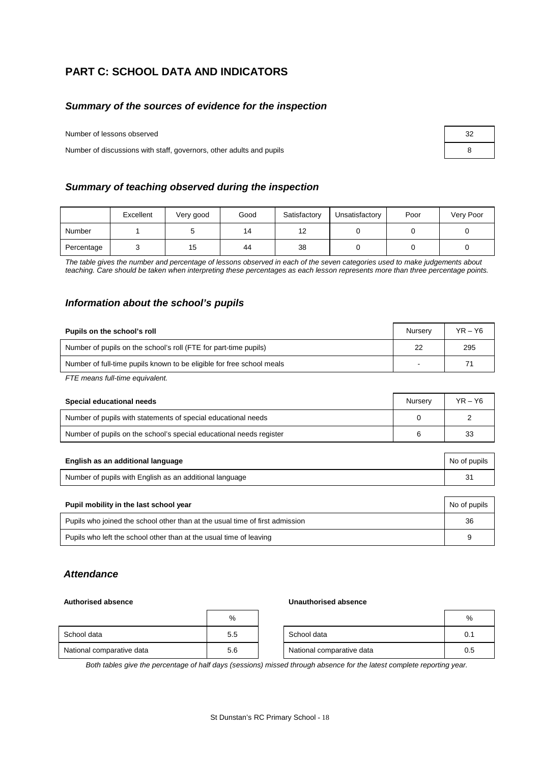## **PART C: SCHOOL DATA AND INDICATORS**

#### *Summary of the sources of evidence for the inspection*

Number of lessons observed

Number of discussions with staff, governors, other adults and pupils 8

#### *Summary of teaching observed during the inspection*

|            | Excellent | Very good | Good | Satisfactory | Unsatisfactory | Poor | Very Poor |
|------------|-----------|-----------|------|--------------|----------------|------|-----------|
| Number     |           |           | 14   | າດ<br>12     |                |      |           |
| Percentage |           | 15        | 44   | 38           |                |      |           |

*The table gives the number and percentage of lessons observed in each of the seven categories used to make judgements about teaching. Care should be taken when interpreting these percentages as each lesson represents more than three percentage points.* 

#### *Information about the school's pupils*

| Pupils on the school's roll                                           | Nursery | $YR - Y6$ |
|-----------------------------------------------------------------------|---------|-----------|
| Number of pupils on the school's roll (FTE for part-time pupils)      | 22      | 295       |
| Number of full-time pupils known to be eligible for free school meals | -       |           |

*FTE means full-time equivalent.*

| Special educational needs                                           | Nurserv | $YR - Y6$ |
|---------------------------------------------------------------------|---------|-----------|
| Number of pupils with statements of special educational needs       |         |           |
| Number of pupils on the school's special educational needs register |         | 33        |

| English as an additional language                       | No of pupils |
|---------------------------------------------------------|--------------|
| Number of pupils with English as an additional language |              |

| Pupil mobility in the last school year                                       | No of pupils |
|------------------------------------------------------------------------------|--------------|
| Pupils who joined the school other than at the usual time of first admission | 36           |
| Pupils who left the school other than at the usual time of leaving           | a            |

#### *Attendance*

#### **Authorised absence Unauthorised absence**

|                           | %   |                           | %   |
|---------------------------|-----|---------------------------|-----|
| School data               | 5.5 | School data               | 0.1 |
| National comparative data | 5.6 | National comparative data | 0.5 |

*Both tables give the percentage of half days (sessions) missed through absence for the latest complete reporting year.*

| 32 |
|----|
| ឧ  |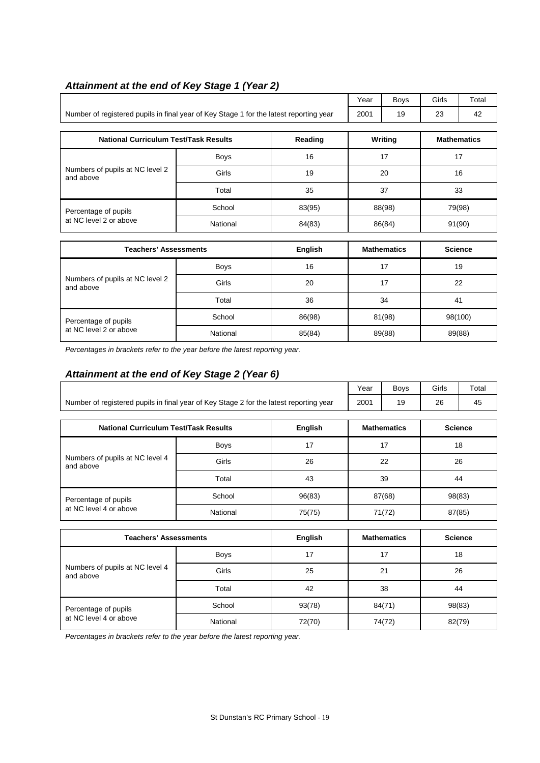| Attainment at the end of Key Stage 1 (Year 2) |
|-----------------------------------------------|
|-----------------------------------------------|

|                                                                                        | Year        | <b>Boys</b> | Girls | Total   |                    |    |
|----------------------------------------------------------------------------------------|-------------|-------------|-------|---------|--------------------|----|
| Number of registered pupils in final year of Key Stage 1 for the latest reporting year | 2001        | 19          | 23    | 42      |                    |    |
|                                                                                        |             |             |       |         |                    |    |
| <b>National Curriculum Test/Task Results</b>                                           |             | Reading     |       | Writing | <b>Mathematics</b> |    |
|                                                                                        | <b>Boys</b> | 16          |       | 17      |                    | 17 |
| Numbers of pupils at NC level 2<br>and above                                           | Girls       | 19          | 20    |         | 16                 |    |
|                                                                                        | Total       | 35          | 37    |         |                    | 33 |
| Percentage of pupils                                                                   | School      | 83(95)      |       | 88(98)  | 79(98)             |    |
| at NC level 2 or above                                                                 | National    | 84(83)      |       | 86(84)  | 91(90)             |    |

| <b>Teachers' Assessments</b>                   |             | English | <b>Mathematics</b> | <b>Science</b> |
|------------------------------------------------|-------------|---------|--------------------|----------------|
|                                                | <b>Boys</b> | 16      | 17                 | 19             |
| Numbers of pupils at NC level 2<br>and above   | Girls       | 20      | 17                 | 22             |
|                                                | Total       | 36      | 34                 | 41             |
| Percentage of pupils<br>at NC level 2 or above | School      | 86(98)  | 81(98)             | 98(100)        |
|                                                | National    | 85(84)  | 89(88)             | 89(88)         |

*Percentages in brackets refer to the year before the latest reporting year.*

## *Attainment at the end of Key Stage 2 (Year 6)*

|                                                                                        | Year | <b>Bovs</b> | Girls | $\tau$ otal |
|----------------------------------------------------------------------------------------|------|-------------|-------|-------------|
| Number of registered pupils in final year of Key Stage 2 for the latest reporting year | 2001 |             | 0C    |             |

| <b>National Curriculum Test/Task Results</b>   |             | <b>English</b> | <b>Mathematics</b> | <b>Science</b> |
|------------------------------------------------|-------------|----------------|--------------------|----------------|
|                                                | <b>Boys</b> | 17             | 17                 | 18             |
| Numbers of pupils at NC level 4<br>and above   | Girls       | 26             | 22                 | 26             |
|                                                | Total       | 43             | 39                 | 44             |
| Percentage of pupils<br>at NC level 4 or above | School      | 96(83)         | 87(68)             | 98(83)         |
|                                                | National    | 75(75)         | 71(72)             | 87(85)         |

| <b>Teachers' Assessments</b>                 |             | English | <b>Mathematics</b> | <b>Science</b> |
|----------------------------------------------|-------------|---------|--------------------|----------------|
|                                              | <b>Boys</b> | 17      | 17                 | 18             |
| Numbers of pupils at NC level 4<br>and above | Girls       | 25      | 21                 | 26             |
|                                              | Total       | 42      | 38                 | 44             |
| Percentage of pupils                         | School      | 93(78)  | 84(71)             | 98(83)         |
| at NC level 4 or above                       | National    | 72(70)  | 74(72)             | 82(79)         |

*Percentages in brackets refer to the year before the latest reporting year.*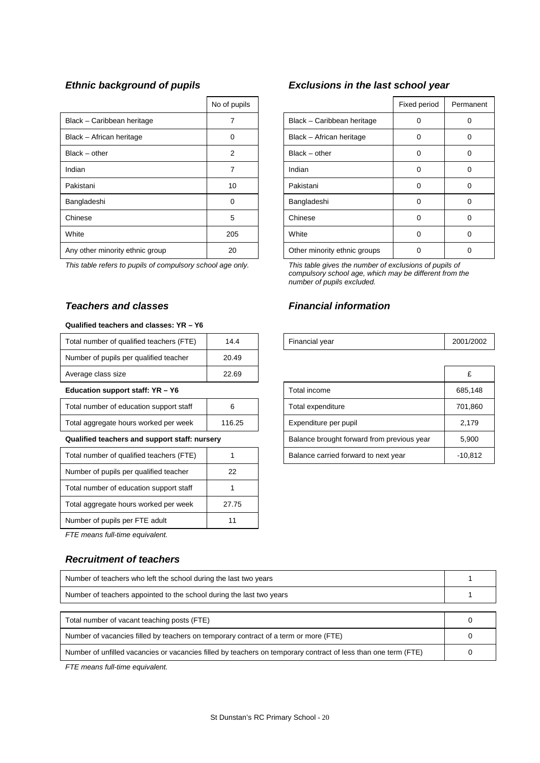|                                 | No of pupils |                              | Fixed period | Perma |
|---------------------------------|--------------|------------------------------|--------------|-------|
| Black - Caribbean heritage      |              | Black - Caribbean heritage   | 0            | C     |
| Black - African heritage        | $\Omega$     | Black - African heritage     | 0            | C     |
| $Black - other$                 | 2            | $Black - other$              | 0            | C     |
| Indian                          |              | Indian                       | 0            | C     |
| Pakistani                       | 10           | Pakistani                    | $\Omega$     | C     |
| Bangladeshi                     | $\Omega$     | Bangladeshi                  | $\Omega$     | C     |
| Chinese                         | 5            | Chinese                      | 0            | C     |
| White                           | 205          | White                        | 0            | C     |
| Any other minority ethnic group | 20           | Other minority ethnic groups | O            | C     |

#### *Teachers and classes Financial information*

#### **Qualified teachers and classes: YR – Y6**

| Total number of qualified teachers (FTE)      | 14.4   | Financial year                             | 2001/  |
|-----------------------------------------------|--------|--------------------------------------------|--------|
| Number of pupils per qualified teacher        | 20.49  |                                            |        |
| Average class size                            | 22.69  |                                            | £      |
| Education support staff: YR - Y6              |        | Total income                               | 685,   |
| Total number of education support staff       | 6      | Total expenditure                          | 701,   |
| Total aggregate hours worked per week         | 116.25 | Expenditure per pupil                      | 2,1    |
| Qualified teachers and support staff: nursery |        | Balance brought forward from previous year | 5,9    |
| Total number of qualified teachers (FTE)      |        | Balance carried forward to next year       | $-10,$ |
| Number of pupils per qualified teacher        | 22     |                                            |        |
| Total number of education support staff       | 1      |                                            |        |
| Total aggregate hours worked per week         | 27.75  |                                            |        |
| Number of pupils per FTE adult                | 11     |                                            |        |

*FTE means full-time equivalent.*

#### *Recruitment of teachers*

# Number of teachers who left the school during the last two years 1 Number of teachers appointed to the school during the last two years 1 Total number of vacant teaching posts (FTE) 0 Number of vacancies filled by teachers on temporary contract of a term or more (FTE) 0 Number of unfilled vacancies or vacancies filled by teachers on temporary contract of less than one term (FTE)  $\qquad 0$

*FTE means full-time equivalent.*

### *Ethnic background of pupils Exclusions in the last school year*

| No of pupils   |                              | Fixed period | Permanent |
|----------------|------------------------------|--------------|-----------|
|                | Black - Caribbean heritage   | 0            | O         |
| ∩              | Black - African heritage     | 0            | Ω         |
| $\overline{2}$ | Black - other                | 0            | 0         |
| 7              | Indian                       | 0            | 0         |
| 10             | Pakistani                    | 0            | 0         |
| $\Omega$       | Bangladeshi                  | 0            | 0         |
| 5              | Chinese                      | 0            | O         |
| 205            | White                        | 0            | 0         |
| 20             | Other minority ethnic groups |              | 0         |

*This table refers to pupils of compulsory school age only. This table gives the number of exclusions of pupils of compulsory school age, which may be different from the number of pupils excluded.*

| Number of pupils per qualified teacher        | 20.49  |                                            |           |
|-----------------------------------------------|--------|--------------------------------------------|-----------|
| Average class size                            | 22.69  |                                            |           |
| Education support staff: YR - Y6              |        | Total income                               | 685,148   |
| Total number of education support staff       | 6      | Total expenditure                          | 701,860   |
| Total aggregate hours worked per week         | 116.25 | Expenditure per pupil                      | 2,179     |
| Qualified teachers and support staff: nursery |        | Balance brought forward from previous year | 5,900     |
| Total number of qualified teachers (FTE)      |        | Balance carried forward to next year       | $-10.812$ |

Total number of teachers (Financial year 2001/2002)